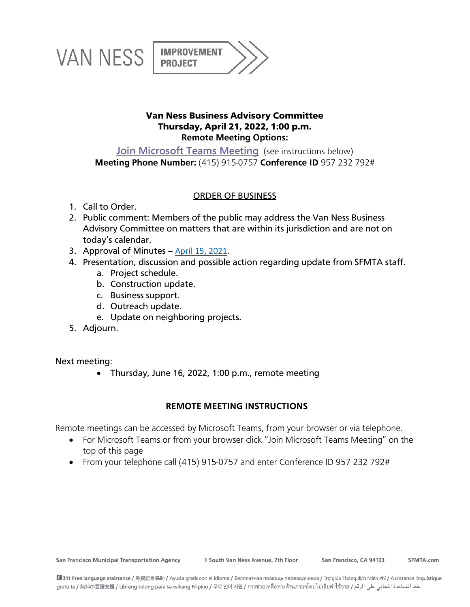

## Van Ness Business Advisory Committee Thursday, April 21, 2022, 1:00 p.m. **Remote Meeting Options:**

**[Join Microsoft Teams Meeting](https://teams.microsoft.com/l/meetup-join/19%3ameeting_OWQxMGYxMGItMzNlNC00ZDRhLWExNWQtZWJhNmFhMWI3ZTlj%40thread.v2/0?context=%7b%22Tid%22%3a%22f079c315-facc-4d90-8a1a-00ea23258a68%22%2c%22Oid%22%3a%22baee20b4-cbe9-4bbb-af61-2c48f365e2a6%22%7d)** (see instructions below) **Meeting Phone Number:** (415) 915-0757 **Conference ID** 957 232 792#

## ORDER OF BUSINESS

- 1. Call to Order.
- 2. Public comment: Members of the public may address the Van Ness Business Advisory Committee on matters that are within its jurisdiction and are not on today's calendar.
- 3. Approval of Minutes [April 15, 2021.](https://www.sfmta.com/sites/default/files/reports-and-documents/2021/04/van_ness_bac_minutes_2021.04.15.pdf)
- 4. Presentation, discussion and possible action regarding update from SFMTA staff.
	- a. Project schedule.
	- b. Construction update.
	- c. Business support.
	- d. Outreach update.
	- e. Update on neighboring projects.
- 5. Adjourn.

Next meeting:

• Thursday, June 16, 2022, 1:00 p.m., remote meeting

## **REMOTE MEETING INSTRUCTIONS**

Remote meetings can be accessed by Microsoft Teams, from your browser or via telephone.

- For Microsoft Teams or from your browser click "Join Microsoft Teams Meeting" on the top of this page
- From your telephone call (415) 915-0757 and enter Conference ID 957 232 792#

**San Francisco Municipal Transportation Agency** 

1 South Van Ness Avenue, 7th Floor

San Francisco, CA 94103

SFMTA.com